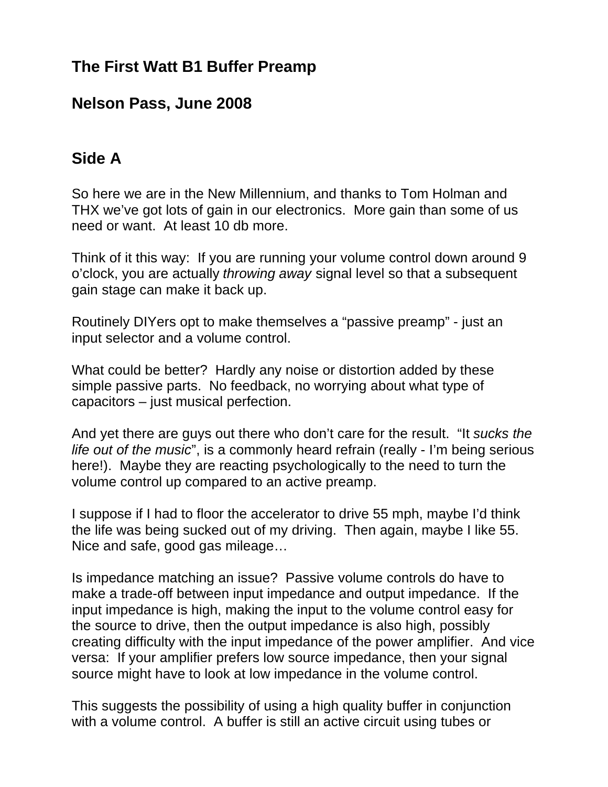## **The First Watt B1 Buffer Preamp**

#### **Nelson Pass, June 2008**

# **Side A**

So here we are in the New Millennium, and thanks to Tom Holman and THX we've got lots of gain in our electronics. More gain than some of us need or want. At least 10 db more.

Think of it this way: If you are running your volume control down around 9 o'clock, you are actually *throwing away* signal level so that a subsequent gain stage can make it back up.

Routinely DIYers opt to make themselves a "passive preamp" - just an input selector and a volume control.

What could be better? Hardly any noise or distortion added by these simple passive parts. No feedback, no worrying about what type of capacitors – just musical perfection.

And yet there are guys out there who don't care for the result. "It *sucks the life out of the music*", is a commonly heard refrain (really - I'm being serious here!). Maybe they are reacting psychologically to the need to turn the volume control up compared to an active preamp.

I suppose if I had to floor the accelerator to drive 55 mph, maybe I'd think the life was being sucked out of my driving. Then again, maybe I like 55. Nice and safe, good gas mileage…

Is impedance matching an issue? Passive volume controls do have to make a trade-off between input impedance and output impedance. If the input impedance is high, making the input to the volume control easy for the source to drive, then the output impedance is also high, possibly creating difficulty with the input impedance of the power amplifier. And vice versa: If your amplifier prefers low source impedance, then your signal source might have to look at low impedance in the volume control.

This suggests the possibility of using a high quality buffer in conjunction with a volume control. A buffer is still an active circuit using tubes or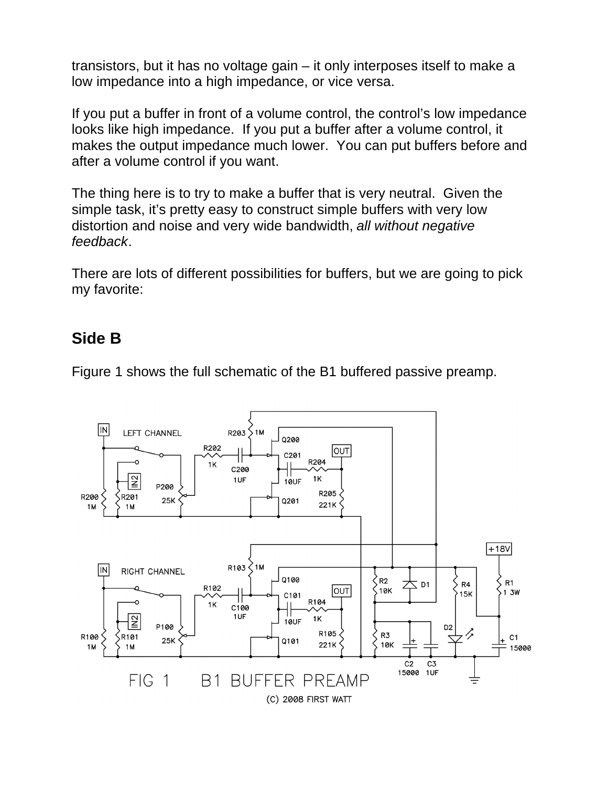transistors, but it has no voltage gain – it only interposes itself to make a low impedance into a high impedance, or vice versa.

If you put a buffer in front of a volume control, the control's low impedance looks like high impedance. If you put a buffer after a volume control, it makes the output impedance much lower. You can put buffers before and after a volume control if you want.

The thing here is to try to make a buffer that is very neutral. Given the simple task, it's pretty easy to construct simple buffers with very low distortion and noise and very wide bandwidth, *all without negative feedback*.

There are lots of different possibilities for buffers, but we are going to pick my favorite:

### **Side B**

Figure 1 shows the full schematic of the B1 buffered passive preamp.

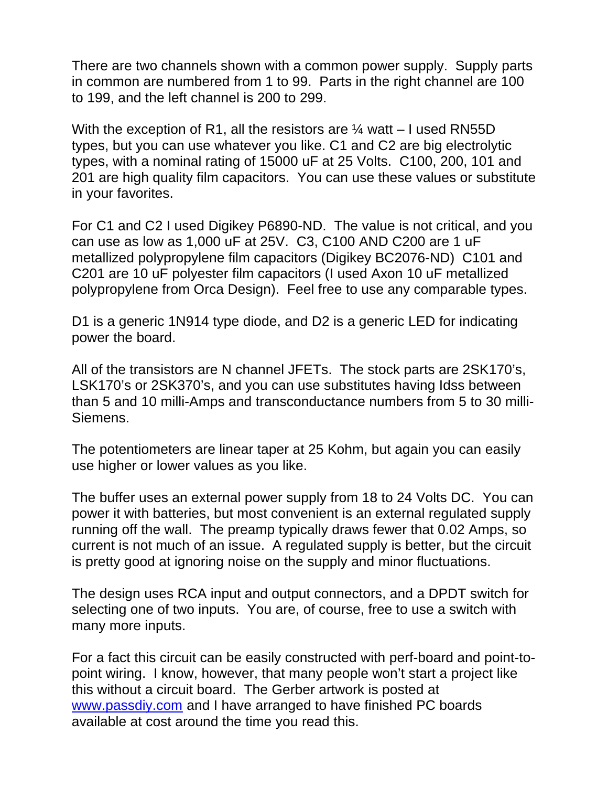There are two channels shown with a common power supply. Supply parts in common are numbered from 1 to 99. Parts in the right channel are 100 to 199, and the left channel is 200 to 299.

With the exception of R1, all the resistors are  $\frac{1}{4}$  watt – I used RN55D types, but you can use whatever you like. C1 and C2 are big electrolytic types, with a nominal rating of 15000 uF at 25 Volts. C100, 200, 101 and 201 are high quality film capacitors. You can use these values or substitute in your favorites.

For C1 and C2 I used Digikey P6890-ND. The value is not critical, and you can use as low as 1,000 uF at 25V. C3, C100 AND C200 are 1 uF metallized polypropylene film capacitors (Digikey BC2076-ND) C101 and C201 are 10 uF polyester film capacitors (I used Axon 10 uF metallized polypropylene from Orca Design). Feel free to use any comparable types.

D1 is a generic 1N914 type diode, and D2 is a generic LED for indicating power the board.

All of the transistors are N channel JFETs. The stock parts are 2SK170's, LSK170's or 2SK370's, and you can use substitutes having Idss between than 5 and 10 milli-Amps and transconductance numbers from 5 to 30 milli-Siemens.

The potentiometers are linear taper at 25 Kohm, but again you can easily use higher or lower values as you like.

The buffer uses an external power supply from 18 to 24 Volts DC. You can power it with batteries, but most convenient is an external regulated supply running off the wall. The preamp typically draws fewer that 0.02 Amps, so current is not much of an issue. A regulated supply is better, but the circuit is pretty good at ignoring noise on the supply and minor fluctuations.

The design uses RCA input and output connectors, and a DPDT switch for selecting one of two inputs. You are, of course, free to use a switch with many more inputs.

For a fact this circuit can be easily constructed with perf-board and point-topoint wiring. I know, however, that many people won't start a project like this without a circuit board. The Gerber artwork is posted at www.passdiy.com and I have arranged to have finished PC boards available at cost around the time you read this.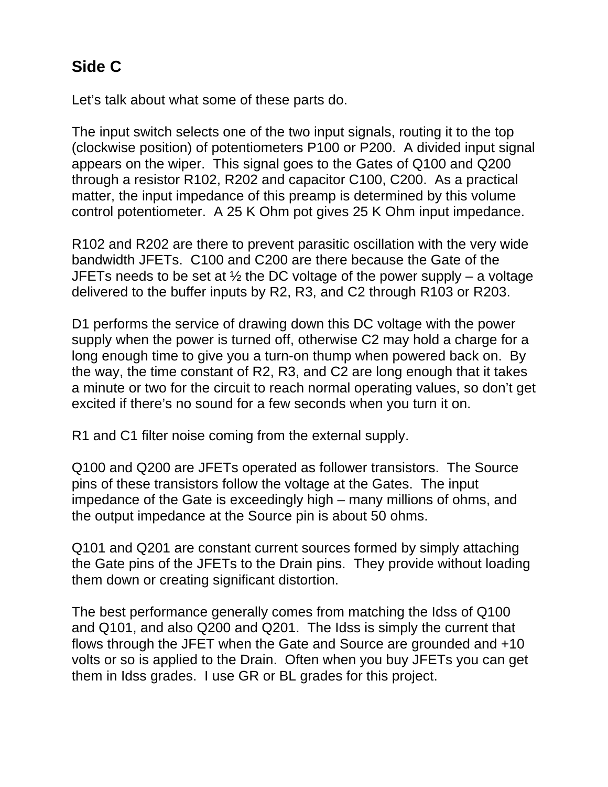# **Side C**

Let's talk about what some of these parts do.

The input switch selects one of the two input signals, routing it to the top (clockwise position) of potentiometers P100 or P200. A divided input signal appears on the wiper. This signal goes to the Gates of Q100 and Q200 through a resistor R102, R202 and capacitor C100, C200. As a practical matter, the input impedance of this preamp is determined by this volume control potentiometer. A 25 K Ohm pot gives 25 K Ohm input impedance.

R102 and R202 are there to prevent parasitic oscillation with the very wide bandwidth JFETs. C100 and C200 are there because the Gate of the JFETs needs to be set at  $\frac{1}{2}$  the DC voltage of the power supply – a voltage delivered to the buffer inputs by R2, R3, and C2 through R103 or R203.

D1 performs the service of drawing down this DC voltage with the power supply when the power is turned off, otherwise C2 may hold a charge for a long enough time to give you a turn-on thump when powered back on. By the way, the time constant of R2, R3, and C2 are long enough that it takes a minute or two for the circuit to reach normal operating values, so don't get excited if there's no sound for a few seconds when you turn it on.

R1 and C1 filter noise coming from the external supply.

Q100 and Q200 are JFETs operated as follower transistors. The Source pins of these transistors follow the voltage at the Gates. The input impedance of the Gate is exceedingly high – many millions of ohms, and the output impedance at the Source pin is about 50 ohms.

Q101 and Q201 are constant current sources formed by simply attaching the Gate pins of the JFETs to the Drain pins. They provide without loading them down or creating significant distortion.

The best performance generally comes from matching the Idss of Q100 and Q101, and also Q200 and Q201. The Idss is simply the current that flows through the JFET when the Gate and Source are grounded and +10 volts or so is applied to the Drain. Often when you buy JFETs you can get them in Idss grades. I use GR or BL grades for this project.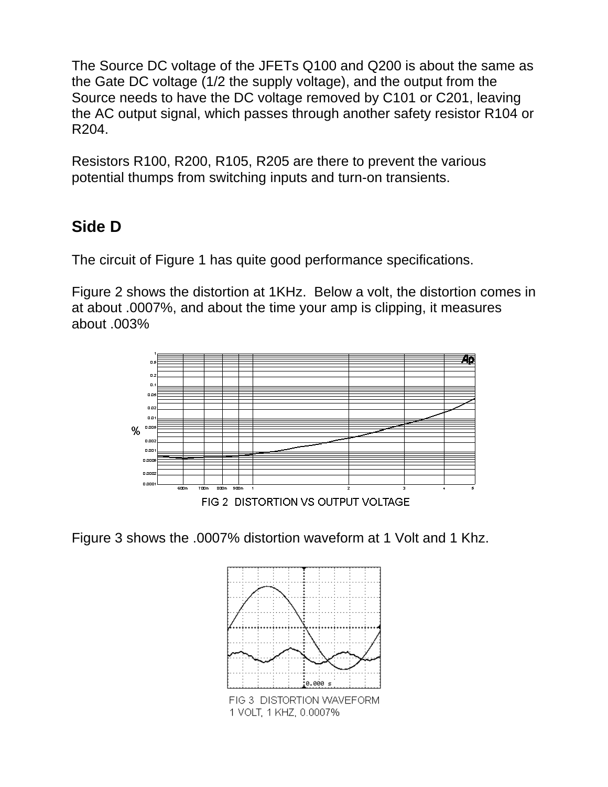The Source DC voltage of the JFETs Q100 and Q200 is about the same as the Gate DC voltage (1/2 the supply voltage), and the output from the Source needs to have the DC voltage removed by C101 or C201, leaving the AC output signal, which passes through another safety resistor R104 or R204.

Resistors R100, R200, R105, R205 are there to prevent the various potential thumps from switching inputs and turn-on transients.

# **Side D**

The circuit of Figure 1 has quite good performance specifications.

Figure 2 shows the distortion at 1KHz. Below a volt, the distortion comes in at about .0007%, and about the time your amp is clipping, it measures about .003%



FIG 2 DISTORTION VS OUTPUT VOLTAGE

Figure 3 shows the .0007% distortion waveform at 1 Volt and 1 Khz.

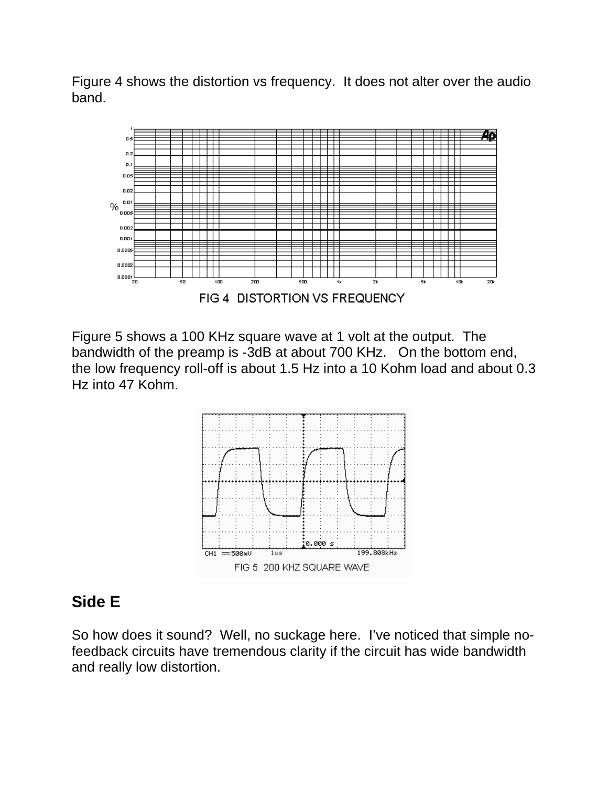Figure 4 shows the distortion vs frequency. It does not alter over the audio band.



Figure 5 shows a 100 KHz square wave at 1 volt at the output. The bandwidth of the preamp is -3dB at about 700 KHz. On the bottom end, the low frequency roll-off is about 1.5 Hz into a 10 Kohm load and about 0.3 Hz into 47 Kohm.



#### **Side E**

So how does it sound? Well, no suckage here. I've noticed that simple nofeedback circuits have tremendous clarity if the circuit has wide bandwidth and really low distortion.